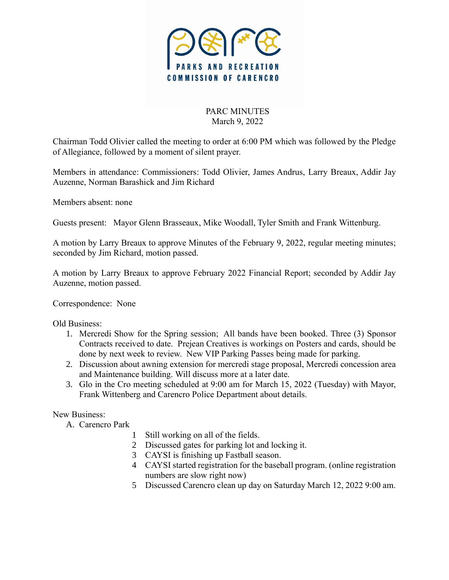

## PARC MINUTES March 9, 2022

Chairman Todd Olivier called the meeting to order at 6:00 PM which was followed by the Pledge of Allegiance, followed by a moment of silent prayer.

Members in attendance: Commissioners: Todd Olivier, James Andrus, Larry Breaux, Addir Jay Auzenne, Norman Barashick and Jim Richard

Members absent: none

Guests present: Mayor Glenn Brasseaux, Mike Woodall, Tyler Smith and Frank Wittenburg.

A motion by Larry Breaux to approve Minutes of the February 9, 2022, regular meeting minutes; seconded by Jim Richard, motion passed.

A motion by Larry Breaux to approve February 2022 Financial Report; seconded by Addir Jay Auzenne, motion passed.

Correspondence: None

Old Business:

- 1. Mercredi Show for the Spring session; All bands have been booked. Three (3) Sponsor Contracts received to date. Prejean Creatives is workings on Posters and cards, should be done by next week to review. New VIP Parking Passes being made for parking.
- 2. Discussion about awning extension for mercredi stage proposal, Mercredi concession area and Maintenance building. Will discuss more at a later date.
- 3. Glo in the Cro meeting scheduled at 9:00 am for March 15, 2022 (Tuesday) with Mayor, Frank Wittenberg and Carencro Police Department about details.

New Business:

- A. Carencro Park
	- 1 Still working on all of the fields.
	- 2 Discussed gates for parking lot and locking it.
	- 3 CAYSI is finishing up Fastball season.
	- 4 CAYSI started registration for the baseball program. (online registration numbers are slow right now)
	- 5 Discussed Carencro clean up day on Saturday March 12, 2022 9:00 am.